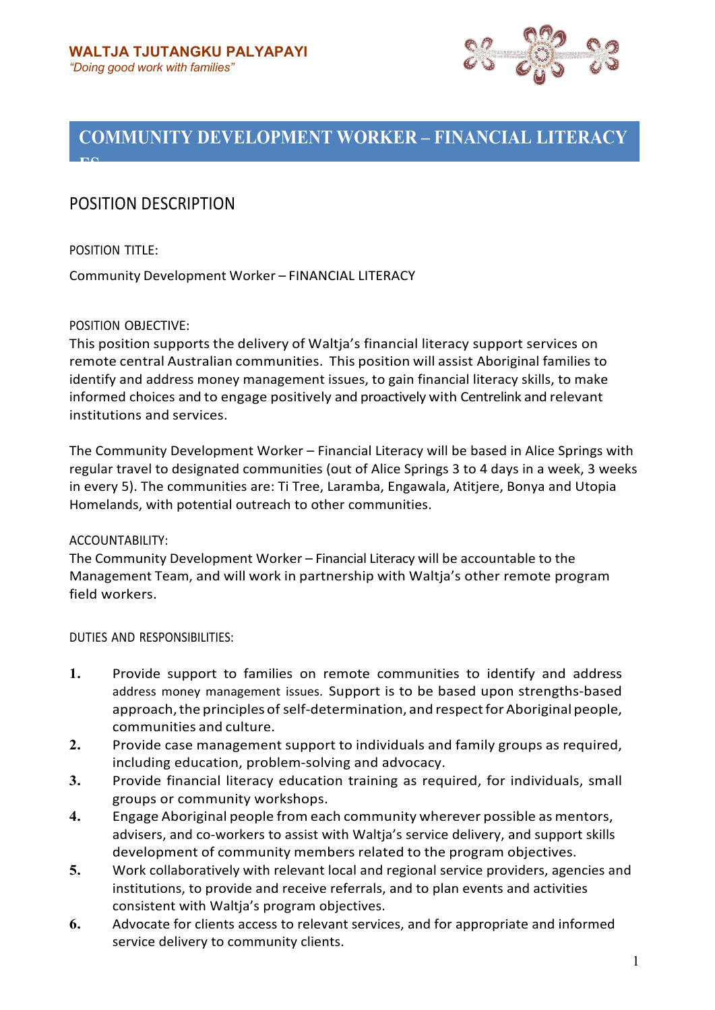

# **COMMUNITY DEVELOPMENT WORKER – FINANCIAL LITERACY**

# POSITION DESCRIPTION

POSITION TITLE:

**ES**

Community Development Worker – FINANCIAL LITERACY

# POSITION OBJECTIVE:

This position supports the delivery of Waltja's financial literacy support services on remote central Australian communities. This position will assist Aboriginal families to identify and address money management issues, to gain financial literacy skills, to make informed choices and to engage positively and proactively with Centrelink and relevant institutions and services.

The Community Development Worker – Financial Literacy will be based in Alice Springs with regular travel to designated communities (out of Alice Springs 3 to 4 days in a week, 3 weeks in every 5). The communities are: Ti Tree, Laramba, Engawala, Atitjere, Bonya and Utopia Homelands, with potential outreach to other communities.

## ACCOUNTABILITY:

The Community Development Worker – Financial Literacy will be accountable to the Management Team, and will work in partnership with Waltja's other remote program field workers.

DUTIES AND RESPONSIBILITIES:

- **1.** Provide support to families on remote communities to identify and address address money management issues. Support is to be based upon strengths-based approach, the principles of self-determination, and respect for Aboriginal people, communities and culture.
- **2.** Provide case management support to individuals and family groups as required, including education, problem-solving and advocacy.
- **3.** Provide financial literacy education training as required, for individuals, small groups or community workshops.
- **4.** Engage Aboriginal people from each community wherever possible as mentors, advisers, and co-workers to assist with Waltja's service delivery, and support skills development of community members related to the program objectives.
- **5.** Work collaboratively with relevant local and regional service providers, agencies and institutions, to provide and receive referrals, and to plan events and activities consistent with Waltja's program objectives.
- **6.** Advocate for clients access to relevant services, and for appropriate and informed service delivery to community clients.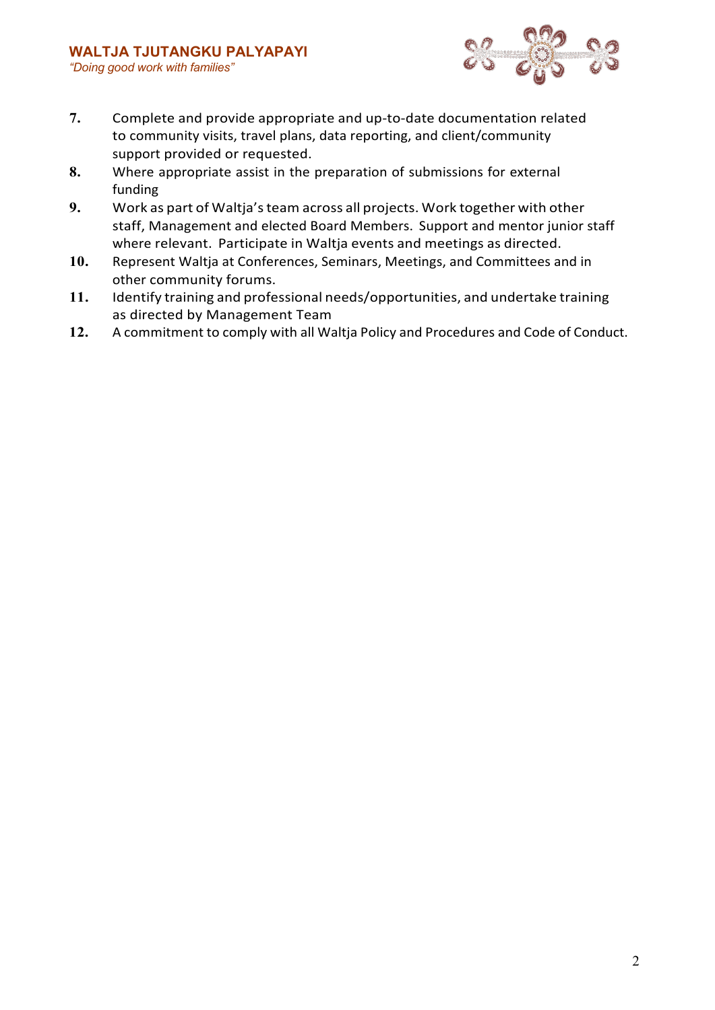

- **7.** Complete and provide appropriate and up-to-date documentation related to community visits, travel plans, data reporting, and client/community support provided or requested.
- **8.** Where appropriate assist in the preparation of submissions for external funding
- **9.** Work as part of Waltja'steam across all projects. Work together with other staff, Management and elected Board Members. Support and mentor junior staff where relevant. Participate in Waltja events and meetings as directed.
- **10.** Represent Waltja at Conferences, Seminars, Meetings, and Committees and in other community forums.
- **11.** Identify training and professional needs/opportunities, and undertake training as directed by Management Team
- **12.** A commitment to comply with all Waltja Policy and Procedures and Code of Conduct.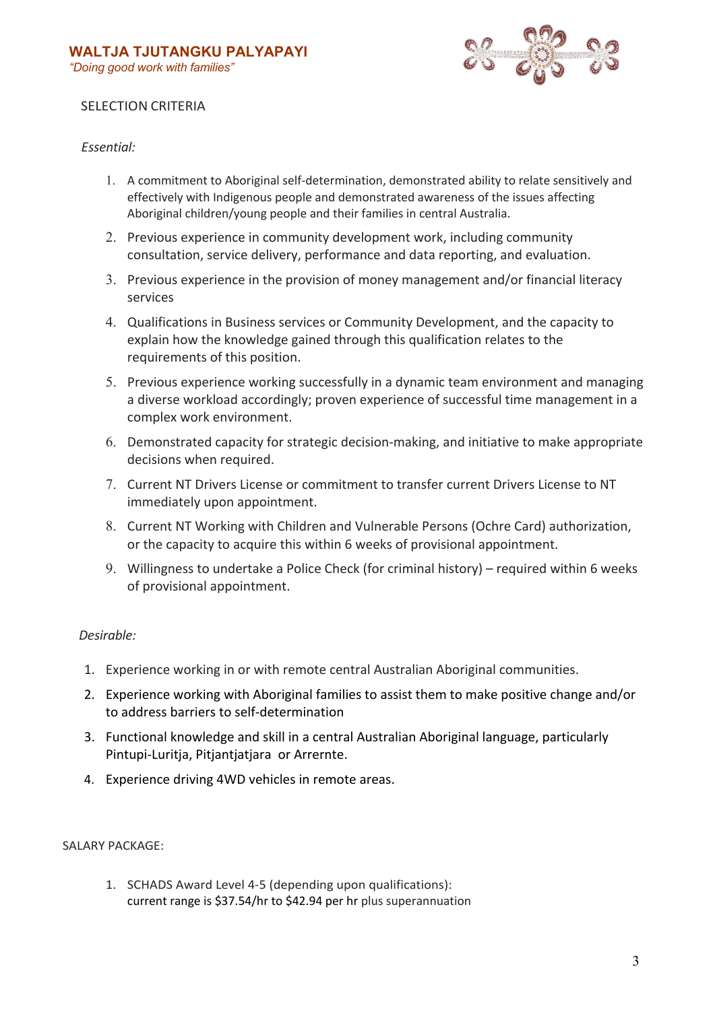

# SELECTION CRITERIA

## *Essential:*

- 1. A commitment to Aboriginal self-determination, demonstrated ability to relate sensitively and effectively with Indigenous people and demonstrated awareness of the issues affecting Aboriginal children/young people and their families in central Australia.
- 2. Previous experience in community development work, including community consultation, service delivery, performance and data reporting, and evaluation.
- 3. Previous experience in the provision of money management and/or financial literacy services
- 4. Qualifications in Business services or Community Development, and the capacity to explain how the knowledge gained through this qualification relates to the requirements of this position.
- 5. Previous experience working successfully in a dynamic team environment and managing a diverse workload accordingly; proven experience of successful time management in a complex work environment.
- 6. Demonstrated capacity for strategic decision-making, and initiative to make appropriate decisions when required.
- 7. Current NT Drivers License or commitment to transfer current Drivers License to NT immediately upon appointment.
- 8. Current NT Working with Children and Vulnerable Persons (Ochre Card) authorization, or the capacity to acquire this within 6 weeks of provisional appointment.
- 9. Willingness to undertake a Police Check (for criminal history) required within 6 weeks of provisional appointment.

## *Desirable:*

- 1. Experience working in or with remote central Australian Aboriginal communities.
- 2. Experience working with Aboriginal families to assist them to make positive change and/or to address barriers to self-determination
- 3. Functional knowledge and skill in a central Australian Aboriginal language, particularly Pintupi-Luritja, Pitjantjatjara or Arrernte.
- 4. Experience driving 4WD vehicles in remote areas.

## SALARY PACKAGE:

1. SCHADS Award Level 4-5 (depending upon qualifications): current range is \$37.54/hr to \$42.94 per hr plus superannuation